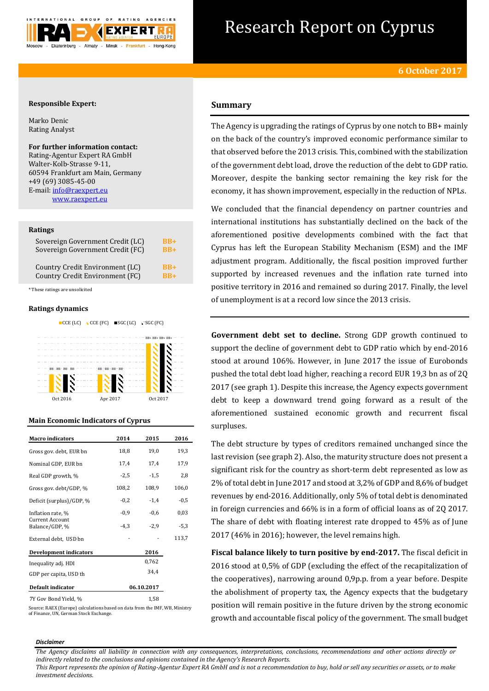

# Research Report on Cyprus

# **Responsible Expert:**

Marko Denic Rating Analyst

# **For further information contact:**

Rating-Agentur Expert RA GmbH Walter-Kolb-Strasse 9-11, 60594 Frankfurt am Main, Germany +49 (69) 3085-45-00 E-mail[: info@raexpert.eu](mailto:info@raexpert.eu) [www.raexpert.eu](http://raexpert.eu/)

# **Ratings**

| Sovereign Government Credit (LC) | $RB+$ |
|----------------------------------|-------|
| Sovereign Government Credit (FC) | $RB+$ |
| Country Credit Environment (LC)  | $RB+$ |
| Country Credit Environment (FC)  | $RB+$ |

\* These ratings are unsolicited

## **Ratings dynamics**



Oct 2016 Apr 2017 Oct 2017

**Main Economic Indicators of Cyprus**

| <b>Macro</b> indicators                  | 2014       | 2015   | 2016   |  |  |
|------------------------------------------|------------|--------|--------|--|--|
| Gross gov. debt, EUR bn                  | 18,8       | 19,0   | 19,3   |  |  |
| Nominal GDP, EUR bn                      | 17,4       | 17,4   | 17,9   |  |  |
| Real GDP growth, %                       | $-2,5$     | $-1,5$ | 2,8    |  |  |
| Gross gov. debt/GDP, %                   | 108,2      | 108,9  | 106,0  |  |  |
| Deficit (surplus)/GDP, %                 | $-0,2$     | $-1,4$ | $-0,5$ |  |  |
| Inflation rate, %                        | $-0.9$     | $-0,6$ | 0,03   |  |  |
| <b>Current Account</b><br>Balance/GDP, % | $-4.3$     | $-2,9$ | $-5,3$ |  |  |
| External debt, USD bn                    |            |        | 113,7  |  |  |
| <b>Development indicators</b>            |            | 2016   |        |  |  |
| Inequality adj. HDI                      |            | 0,762  |        |  |  |
| GDP per capita, USD th                   |            | 34,4   |        |  |  |
| Default indicator                        | 06.10.2017 |        |        |  |  |
| 7Y Gov Bond Yield, %                     |            | 1,58   |        |  |  |

Source: RAEX (Europe) calculations based on data from the IMF, WB, Ministry of Finance, UN, German Stock Exchange.

# **Summary**

The Agency is upgrading the ratings of Cyprus by one notch to BB+ mainly on the back of the country's improved economic performance similar to that observed before the 2013 crisis. This, combined with the stabilization of the government debt load, drove the reduction of the debt to GDP ratio. Moreover, despite the banking sector remaining the key risk for the economy, it has shown improvement, especially in the reduction of NPLs.

We concluded that the financial dependency on partner countries and international institutions has substantially declined on the back of the aforementioned positive developments combined with the fact that Cyprus has left the European Stability Mechanism (ESM) and the IMF adjustment program. Additionally, the fiscal position improved further supported by increased revenues and the inflation rate turned into positive territory in 2016 and remained so during 2017. Finally, the level of unemployment is at a record low since the 2013 crisis.

**Government debt set to decline.** Strong GDP growth continued to support the decline of government debt to GDP ratio which by end-2016 stood at around 106%. However, in June 2017 the issue of Eurobonds pushed the total debt load higher, reaching a record EUR 19,3 bn as of 2Q 2017 (see graph 1). Despite this increase, the Agency expects government debt to keep a downward trend going forward as a result of the aforementioned sustained economic growth and recurrent fiscal surpluses.

The debt structure by types of creditors remained unchanged since the last revision (see graph 2). Also, the maturity structure does not present a significant risk for the country as short-term debt represented as low as 2% of total debt in June 2017 and stood at 3,2% of GDP and 8,6% of budget revenues by end-2016. Additionally, only 5% of total debt is denominated in foreign currencies and 66% is in a form of official loans as of 2Q 2017. The share of debt with floating interest rate dropped to 45% as of June 2017 (46% in 2016); however, the level remains high.

**Fiscal balance likely to turn positive by end-2017.** The fiscal deficit in 2016 stood at 0,5% of GDP (excluding the effect of the recapitalization of the cooperatives), narrowing around 0,9p.p. from a year before. Despite the abolishment of property tax, the Agency expects that the budgetary position will remain positive in the future driven by the strong economic growth and accountable fiscal policy of the government. The small budget

#### *Disclaimer*

*The Agency disclaims all liability in connection with any consequences, interpretations, conclusions, recommendations and other actions directly or indirectly related to the conclusions and opinions contained in the Agency's Research Reports.*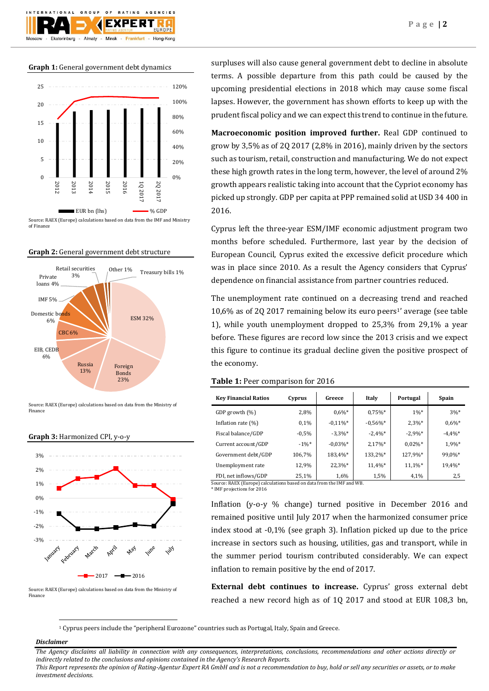**Graph 1:** General government debt dynamics

 $O F$ 

F X I

Minsk

**BATING** 

Frankfurt

AGENCIES

Hong-Kong

GROUP

Almaty

**TION** 

Ekaterinburg



Source: RAEX (Europe) calculations based on data from the IMF and Ministry of Finance

# **Graph 2:** General government debt structure



Source: RAEX (Europe) calculations based on data from the Ministry of Finance





Source: RAEX (Europe) calculations based on data from the Ministry of Finance

surpluses will also cause general government debt to decline in absolute terms. A possible departure from this path could be caused by the upcoming presidential elections in 2018 which may cause some fiscal lapses. However, the government has shown efforts to keep up with the prudent fiscal policy and we can expect this trend to continue in the future.

**Macroeconomic position improved further.** Real GDP continued to grow by 3,5% as of 2Q 2017 (2,8% in 2016), mainly driven by the sectors such as tourism, retail, construction and manufacturing. We do not expect these high growth rates in the long term, however, the level of around 2% growth appears realistic taking into account that the Cypriot economy has picked up strongly. GDP per capita at PPP remained solid at USD 34 400 in 2016.

Cyprus left the three-year ESM/IMF economic adjustment program two months before scheduled. Furthermore, last year by the decision of European Council, Cyprus exited the excessive deficit procedure which was in place since 2010. As a result the Agency considers that Cyprus' dependence on financial assistance from partner countries reduced.

The unemployment rate continued on a decreasing trend and reached  $10,6\%$  as of 2Q 2017 remaining below its euro peers<sup>1</sup>' average (see table 1), while youth unemployment dropped to 25,3% from 29,1% a year before. These figures are record low since the 2013 crisis and we expect this figure to continue its gradual decline given the positive prospect of the economy.

## **Table 1:** Peer comparison for 2016

| <b>Key Financial Ratios</b> | Cyprus   | Greece      | Italy      | Portugal   | Spain      |
|-----------------------------|----------|-------------|------------|------------|------------|
| GDP growth (%)              | 2,8%     | $0.6\%$ *   | $0.75\%$ * | $1\%*$     | $3\%*$     |
| Inflation rate (%)          | 0.1%     | $-0.11\%$ * | $-0.56%$ * | $2.3\%*$   | $0.6\%$ *  |
| Fiscal balance/GDP          | $-0.5%$  | $-3.3%$ *   | $-2.4%$ *  | $-2.9%$ *  | $-4.4\%$ * |
| Current account/GDP         | $-1\%$ * | $-0.03%$ *  | 2,17%*     | $0.02\%$ * | 1,9%*      |
| Government debt/GDP         | 106,7%   | 183,4%*     | 133,2%*    | 127.9%*    | 99.0%*     |
| Unemployment rate           | 12,9%    | 22,3%*      | 11,4%*     | 11,1%*     | 19,4%*     |
| FDI, net inflows/GDP        | 25,1%    | 1,6%        | 1,5%       | 4,1%       | 2,5        |

Source: RAEX (Europe) calculations based on data from the IMF and WB.

\* IMF projections for 2016

Inflation (y-o-y % change) turned positive in December 2016 and remained positive until July 2017 when the harmonized consumer price index stood at -0,1% (see graph 3). Inflation picked up due to the price increase in sectors such as housing, utilities, gas and transport, while in the summer period tourism contributed considerably. We can expect inflation to remain positive by the end of 2017.

**External debt continues to increase.** Cyprus' gross external debt reached a new record high as of 1Q 2017 and stood at EUR 108,3 bn,

<sup>1</sup> Cyprus peers include the "peripheral Eurozone" countries such as Portugal, Italy, Spain and Greece.

# *Disclaimer*

1

*The Agency disclaims all liability in connection with any consequences, interpretations, conclusions, recommendations and other actions directly or indirectly related to the conclusions and opinions contained in the Agency's Research Reports.*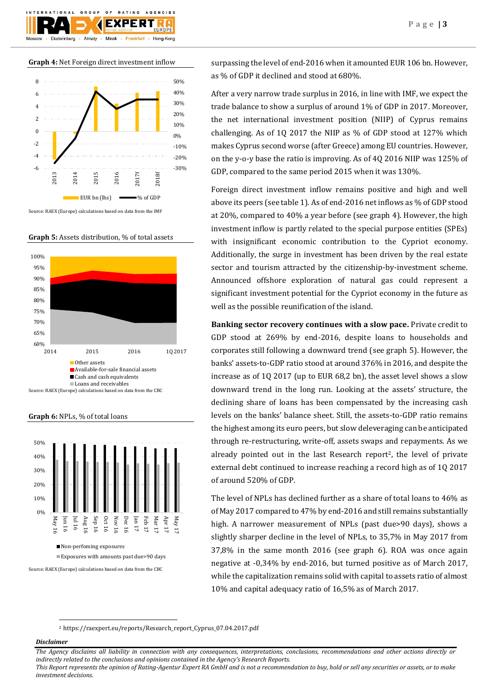$O F$ **BATING** AGENCIES GROUP F X I Almaty Ekaterinburg Minsk Frankfurt Hong-Kong

**Graph 4:** Net Foreign direct investment inflow



Source: RAEX (Europe) calculations based on data from the IMF





**Graph 6:** NPLs, % of total loans



Source: RAEX (Europe) calculations based on data from the CBC

surpassing the level of end-2016 when it amounted EUR 106 bn. However, as % of GDP it declined and stood at 680%.

After a very narrow trade surplus in 2016, in line with IMF, we expect the trade balance to show a surplus of around 1% of GDP in 2017. Moreover, the net international investment position (NIIP) of Cyprus remains challenging. As of 1Q 2017 the NIIP as % of GDP stood at 127% which makes Cyprus second worse (after Greece) among EU countries. However, on the y-o-y base the ratio is improving. As of 4Q 2016 NIIP was 125% of GDP, compared to the same period 2015 when it was 130%.

Foreign direct investment inflow remains positive and high and well above its peers (see table 1). As of end-2016 net inflows as % of GDP stood at 20%, compared to 40% a year before (see graph 4). However, the high investment inflow is partly related to the special purpose entities (SPEs) with insignificant economic contribution to the Cypriot economy. Additionally, the surge in investment has been driven by the real estate sector and tourism attracted by the citizenship-by-investment scheme. Announced offshore exploration of natural gas could represent a significant investment potential for the Cypriot economy in the future as well as the possible reunification of the island.

**Banking sector recovery continues with a slow pace.** Private credit to GDP stood at 269% by end-2016, despite loans to households and corporates still following a downward trend (see graph 5). However, the banks' assets-to-GDP ratio stood at around 376% in 2016, and despite the increase as of 1Q 2017 (up to EUR 68,2 bn), the asset level shows a slow downward trend in the long run. Looking at the assets' structure, the declining share of loans has been compensated by the increasing cash levels on the banks' balance sheet. Still, the assets-to-GDP ratio remains the highest among its euro peers, but slow deleveraging can be anticipated through re-restructuring, write-off, assets swaps and repayments. As we already pointed out in the last Research report<sup>2</sup>, the level of private external debt continued to increase reaching a record high as of 1Q 2017 of around 520% of GDP.

The level of NPLs has declined further as a share of total loans to 46% as of May 2017 compared to 47% by end-2016 and still remains substantially high. A narrower measurement of NPLs (past due>90 days), shows a slightly sharper decline in the level of NPLs, to 35,7% in May 2017 from 37,8% in the same month 2016 (see graph 6). ROA was once again negative at -0,34% by end-2016, but turned positive as of March 2017, while the capitalization remains solid with capital to assets ratio of almost 10% and capital adequacy ratio of 16,5% as of March 2017.

<sup>2</sup> https://raexpert.eu/reports/Research\_report\_Cyprus\_07.04.2017.pdf

# *Disclaimer*

1

*The Agency disclaims all liability in connection with any consequences, interpretations, conclusions, recommendations and other actions directly or indirectly related to the conclusions and opinions contained in the Agency's Research Reports.*